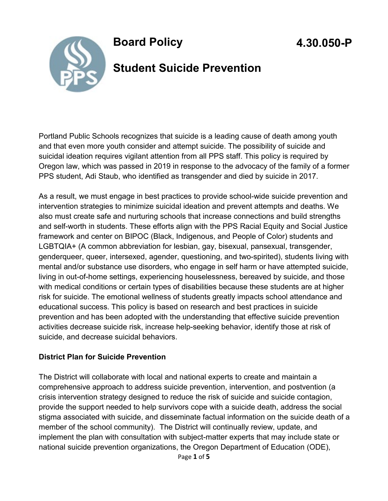

### **Board Policy**

# **4.30.050-P**

### **Student Suicide Prevention**

Portland Public Schools recognizes that suicide is a leading cause of death among youth and that even more youth consider and attempt suicide. The possibility of suicide and suicidal ideation requires vigilant attention from all PPS staff. This policy is required by Oregon law, which was passed in 2019 in response to the advocacy of the family of a former PPS student, Adi Staub, who identified as transgender and died by suicide in 2017.

As a result, we must engage in best practices to provide school-wide suicide prevention and intervention strategies to minimize suicidal ideation and prevent attempts and deaths. We also must create safe and nurturing schools that increase connections and build strengths and self-worth in students. These efforts align with the PPS Racial Equity and Social Justice framework and center on BIPOC (Black, Indigenous, and People of Color) students and LGBTQIA+ (A common abbreviation for lesbian, gay, bisexual, pansexual, transgender, genderqueer, queer, intersexed, agender, questioning, and two-spirited), students living with mental and/or substance use disorders, who engage in self harm or have attempted suicide, living in out-of-home settings, experiencing houselessness, bereaved by suicide, and those with medical conditions or certain types of disabilities because these students are at higher risk for suicide. The emotional wellness of students greatly impacts school attendance and educational success. This policy is based on research and best practices in suicide prevention and has been adopted with the understanding that effective suicide prevention activities decrease suicide risk, increase help-seeking behavior, identify those at risk of suicide, and decrease suicidal behaviors.

#### **District Plan for Suicide Prevention**

The District will collaborate with local and national experts to create and maintain a comprehensive approach to address suicide prevention, intervention, and postvention (a crisis intervention strategy designed to reduce the risk of suicide and suicide contagion, provide the support needed to help survivors cope with a suicide death, address the social stigma associated with suicide, and disseminate factual information on the suicide death of a member of the school community). The District will continually review, update, and implement the plan with consultation with subject-matter experts that may include state or national suicide prevention organizations, the Oregon Department of Education (ODE),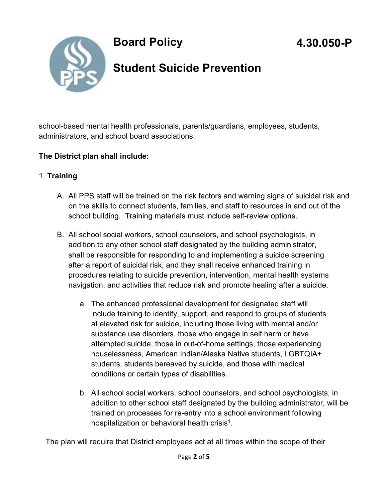

## **Board Policy**

### **Student Suicide Prevention**

school-based mental health professionals, parents/guardians, employees, students, administrators, and school board associations.

#### **The District plan shall include:**

#### 1. **Training**

- A. All PPS staff will be trained on the risk factors and warning signs of suicidal risk and on the skills to connect students, families, and staff to resources in and out of the school building. Training materials must include self-review options.
- B. All school social workers, school counselors, and school psychologists, in addition to any other school staff designated by the building administrator, shall be responsible for responding to and implementing a suicide screening after a report of suicidal risk, and they shall receive enhanced training in procedures relating to suicide prevention, intervention, mental health systems navigation, and activities that reduce risk and promote healing after a suicide.
	- a. The enhanced professional development for designated staff will include training to identify, support, and respond to groups of students at elevated risk for suicide, including those living with mental and/or substance use disorders, those who engage in self harm or have attempted suicide, those in out-of-home settings, those experiencing houselessness, American Indian/Alaska Native students, LGBTQIA+ students, students bereaved by suicide, and those with medical conditions or certain types of disabilities.
	- b. All school social workers, school counselors, and school psychologists, in addition to other school staff designated by the building administrator, will be trained on processes for re-entry into a school environment following hospitalization or behavioral health crisis<sup>1</sup>.

The plan will require that District employees act at all times within the scope of their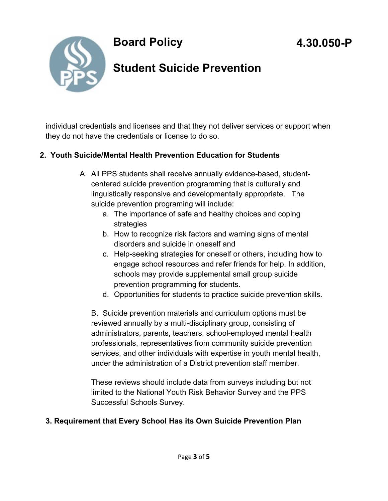



# **Student Suicide Prevention**

individual credentials and licenses and that they not deliver services or support when they do not have the credentials or license to do so.

#### **2. Youth Suicide/Mental Health Prevention Education for Students**

- A. All PPS students shall receive annually evidence-based, studentcentered suicide prevention programming that is culturally and linguistically responsive and developmentally appropriate. The suicide prevention programing will include:
	- a. The importance of safe and healthy choices and coping strategies
	- b. How to recognize risk factors and warning signs of mental disorders and suicide in oneself and
	- c. Help-seeking strategies for oneself or others, including how to engage school resources and refer friends for help. In addition, schools may provide supplemental small group suicide prevention programming for students.
	- d. Opportunities for students to practice suicide prevention skills.

B. Suicide prevention materials and curriculum options must be reviewed annually by a multi-disciplinary group, consisting of administrators, parents, teachers, school-employed mental health professionals, representatives from community suicide prevention services, and other individuals with expertise in youth mental health, under the administration of a District prevention staff member.

These reviews should include data from surveys including but not limited to the National Youth Risk Behavior Survey and the PPS Successful Schools Survey.

#### **3. Requirement that Every School Has its Own Suicide Prevention Plan**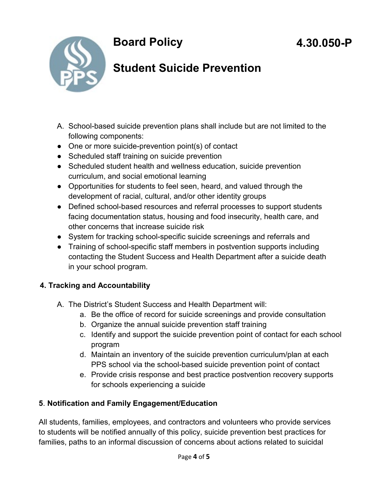**Board Policy** 



# **Student Suicide Prevention**

- A. School-based suicide prevention plans shall include but are not limited to the following components:
- One or more suicide-prevention point(s) of contact
- Scheduled staff training on suicide prevention
- Scheduled student health and wellness education, suicide prevention curriculum, and social emotional learning
- Opportunities for students to feel seen, heard, and valued through the development of racial, cultural, and/or other identity groups
- Defined school-based resources and referral processes to support students facing documentation status, housing and food insecurity, health care, and other concerns that increase suicide risk
- System for tracking school-specific suicide screenings and referrals and
- Training of school-specific staff members in postvention supports including contacting the Student Success and Health Department after a suicide death in your school program.

#### **4. Tracking and Accountability**

- A. The District's Student Success and Health Department will:
	- a. Be the office of record for suicide screenings and provide consultation
	- b. Organize the annual suicide prevention staff training
	- c. Identify and support the suicide prevention point of contact for each school program
	- d. Maintain an inventory of the suicide prevention curriculum/plan at each PPS school via the school-based suicide prevention point of contact
	- e. Provide crisis response and best practice postvention recovery supports for schools experiencing a suicide

#### **5**. **Notification and Family Engagement/Education**

All students, families, employees, and contractors and volunteers who provide services to students will be notified annually of this policy, suicide prevention best practices for families, paths to an informal discussion of concerns about actions related to suicidal